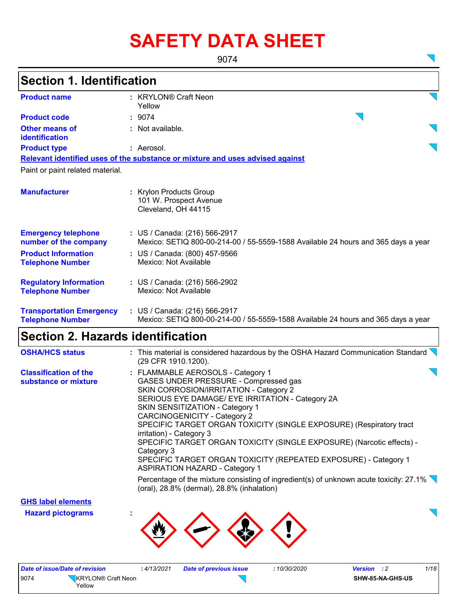# **SAFETY DATA SHEET**

9074

 $\sum$ 

 $\overline{\mathbf{v}}$ 

| <b>Section 1. Identification</b>                           |                                                                                                                    |
|------------------------------------------------------------|--------------------------------------------------------------------------------------------------------------------|
| <b>Product name</b>                                        | : KRYLON® Craft Neon<br>Yellow                                                                                     |
| <b>Product code</b>                                        | : 9074                                                                                                             |
| <b>Other means of</b><br><b>identification</b>             | $:$ Not available.                                                                                                 |
| <b>Product type</b>                                        | : Aerosol.                                                                                                         |
|                                                            | Relevant identified uses of the substance or mixture and uses advised against                                      |
| Paint or paint related material.                           |                                                                                                                    |
| <b>Manufacturer</b>                                        | : Krylon Products Group<br>101 W. Prospect Avenue<br>Cleveland, OH 44115                                           |
| <b>Emergency telephone</b><br>number of the company        | : US / Canada: (216) 566-2917<br>Mexico: SETIQ 800-00-214-00 / 55-5559-1588 Available 24 hours and 365 days a year |
| <b>Product Information</b><br><b>Telephone Number</b>      | : US / Canada: (800) 457-9566<br>Mexico: Not Available                                                             |
| <b>Regulatory Information</b><br><b>Telephone Number</b>   | : US / Canada: (216) 566-2902<br>Mexico: Not Available                                                             |
| <b>Transportation Emergency</b><br><b>Telephone Number</b> | : US / Canada: (216) 566-2917<br>Mexico: SETIQ 800-00-214-00 / 55-5559-1588 Available 24 hours and 365 days a year |
| <b>Section 2. Hazards identification</b>                   |                                                                                                                    |
| <b>OSHA/HCS status</b>                                     | : This material is considered hazardous by the OSHA Hazard Communication Standard                                  |

|                                                      | $\blacksquare$ . The material to concidence for material active of the COI in the latest of Communication Clamatic<br>(29 CFR 1910.1200).                                                                                                                                                                                                                                                                                                                                                                                                         |
|------------------------------------------------------|---------------------------------------------------------------------------------------------------------------------------------------------------------------------------------------------------------------------------------------------------------------------------------------------------------------------------------------------------------------------------------------------------------------------------------------------------------------------------------------------------------------------------------------------------|
| <b>Classification of the</b><br>substance or mixture | : FLAMMABLE AEROSOLS - Category 1<br>GASES UNDER PRESSURE - Compressed gas<br>SKIN CORROSION/IRRITATION - Category 2<br>SERIOUS EYE DAMAGE/ EYE IRRITATION - Category 2A<br>SKIN SENSITIZATION - Category 1<br>CARCINOGENICITY - Category 2<br>SPECIFIC TARGET ORGAN TOXICITY (SINGLE EXPOSURE) (Respiratory tract<br>irritation) - Category 3<br>SPECIFIC TARGET ORGAN TOXICITY (SINGLE EXPOSURE) (Narcotic effects) -<br>Category 3<br>SPECIFIC TARGET ORGAN TOXICITY (REPEATED EXPOSURE) - Category 1<br><b>ASPIRATION HAZARD - Category 1</b> |
|                                                      | Percentage of the mixture consisting of ingredient(s) of unknown acute toxicity: 27.1%                                                                                                                                                                                                                                                                                                                                                                                                                                                            |

**GHS label elements**

**Hazard pictograms :**

(oral), 28.8% (dermal), 28.8% (inhalation)

|      | Date of issue/Date of revision | : 4/13/2021 | <b>Date of previous issue</b> | <i>10/30/2020</i> | <b>Version</b> : 2 | 1/18 |
|------|--------------------------------|-------------|-------------------------------|-------------------|--------------------|------|
| 9074 | KRYLON® Craft Neon<br>Yellow   |             |                               |                   | SHW-85-NA-GHS-US   |      |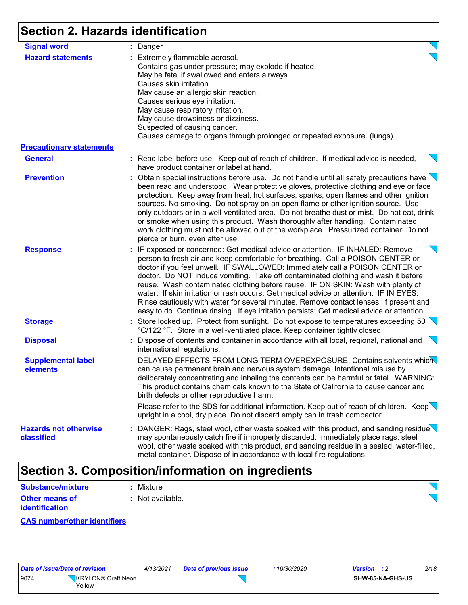# **Section 2. Hazards identification**

| <b>Signal word</b>                                          | : Danger                                                                                                                                                                                                                                                                                                                                                                                                                                                                                                                                                                                                                                                                                                    |
|-------------------------------------------------------------|-------------------------------------------------------------------------------------------------------------------------------------------------------------------------------------------------------------------------------------------------------------------------------------------------------------------------------------------------------------------------------------------------------------------------------------------------------------------------------------------------------------------------------------------------------------------------------------------------------------------------------------------------------------------------------------------------------------|
| <b>Hazard statements</b><br><b>Precautionary statements</b> | : Extremely flammable aerosol.<br>Contains gas under pressure; may explode if heated.<br>May be fatal if swallowed and enters airways.<br>Causes skin irritation.<br>May cause an allergic skin reaction.<br>Causes serious eye irritation.<br>May cause respiratory irritation.<br>May cause drowsiness or dizziness.<br>Suspected of causing cancer.<br>Causes damage to organs through prolonged or repeated exposure. (lungs)                                                                                                                                                                                                                                                                           |
| <b>General</b>                                              | : Read label before use. Keep out of reach of children. If medical advice is needed,<br>have product container or label at hand.                                                                                                                                                                                                                                                                                                                                                                                                                                                                                                                                                                            |
| <b>Prevention</b>                                           | : Obtain special instructions before use. Do not handle until all safety precautions have $\searrow$<br>been read and understood. Wear protective gloves, protective clothing and eye or face<br>protection. Keep away from heat, hot surfaces, sparks, open flames and other ignition<br>sources. No smoking. Do not spray on an open flame or other ignition source. Use<br>only outdoors or in a well-ventilated area. Do not breathe dust or mist. Do not eat, drink<br>or smoke when using this product. Wash thoroughly after handling. Contaminated<br>work clothing must not be allowed out of the workplace. Pressurized container: Do not<br>pierce or burn, even after use.                      |
| <b>Response</b>                                             | : IF exposed or concerned: Get medical advice or attention. IF INHALED: Remove<br>person to fresh air and keep comfortable for breathing. Call a POISON CENTER or<br>doctor if you feel unwell. IF SWALLOWED: Immediately call a POISON CENTER or<br>doctor. Do NOT induce vomiting. Take off contaminated clothing and wash it before<br>reuse. Wash contaminated clothing before reuse. IF ON SKIN: Wash with plenty of<br>water. If skin irritation or rash occurs: Get medical advice or attention. IF IN EYES:<br>Rinse cautiously with water for several minutes. Remove contact lenses, if present and<br>easy to do. Continue rinsing. If eye irritation persists: Get medical advice or attention. |
| <b>Storage</b>                                              | : Store locked up. Protect from sunlight. Do not expose to temperatures exceeding 50<br>°C/122 °F. Store in a well-ventilated place. Keep container tightly closed.                                                                                                                                                                                                                                                                                                                                                                                                                                                                                                                                         |
| <b>Disposal</b>                                             | : Dispose of contents and container in accordance with all local, regional, national and<br>international regulations.                                                                                                                                                                                                                                                                                                                                                                                                                                                                                                                                                                                      |
| <b>Supplemental label</b><br>elements                       | DELAYED EFFECTS FROM LONG TERM OVEREXPOSURE. Contains solvents which<br>can cause permanent brain and nervous system damage. Intentional misuse by<br>deliberately concentrating and inhaling the contents can be harmful or fatal. WARNING:<br>This product contains chemicals known to the State of California to cause cancer and<br>birth defects or other reproductive harm.                                                                                                                                                                                                                                                                                                                           |
|                                                             | Please refer to the SDS for additional information. Keep out of reach of children. Keep<br>upright in a cool, dry place. Do not discard empty can in trash compactor.                                                                                                                                                                                                                                                                                                                                                                                                                                                                                                                                       |
| <b>Hazards not otherwise</b><br><b>classified</b>           | : DANGER: Rags, steel wool, other waste soaked with this product, and sanding residue<br>may spontaneously catch fire if improperly discarded. Immediately place rags, steel<br>wool, other waste soaked with this product, and sanding residue in a sealed, water-filled,<br>metal container. Dispose of in accordance with local fire regulations.                                                                                                                                                                                                                                                                                                                                                        |

## **Section 3. Composition/information on ingredients**

| Substance/mixture     | : Mixture        |
|-----------------------|------------------|
| <b>Other means of</b> | : Not available. |
| identification        |                  |

#### **CAS number/other identifiers**

| Date of issue/Date of revision |                                | : 4/13/2 |
|--------------------------------|--------------------------------|----------|
| 9074                           | KRYLON <sup>®</sup> Craft Neon |          |
|                                | Yellow                         |          |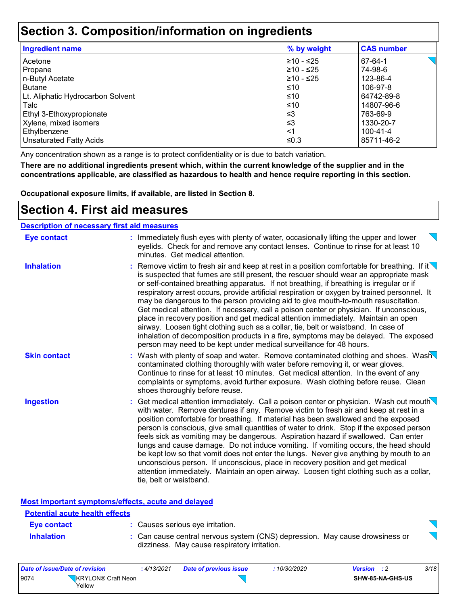### **Section 3. Composition/information on ingredients**

| <b>Ingredient name</b>            | % by weight | <b>CAS number</b> |
|-----------------------------------|-------------|-------------------|
| Acetone                           | 210 - ≤25   | 67-64-1           |
| Propane                           | 210 - ≤25   | 74-98-6           |
| n-Butyl Acetate                   | 210 - ≤25   | 123-86-4          |
| <b>Butane</b>                     | $\leq 10$   | 106-97-8          |
| Lt. Aliphatic Hydrocarbon Solvent | $\leq 10$   | 64742-89-8        |
| Talc                              | $≤10$       | 14807-96-6        |
| Ethyl 3-Ethoxypropionate          | $\leq$ 3    | 763-69-9          |
| Xylene, mixed isomers             | $\leq$ 3    | 1330-20-7         |
| Ethylbenzene                      | <1          | 100-41-4          |
| <b>Unsaturated Fatty Acids</b>    | l≤0.3       | 85711-46-2        |

Any concentration shown as a range is to protect confidentiality or is due to batch variation.

**There are no additional ingredients present which, within the current knowledge of the supplier and in the concentrations applicable, are classified as hazardous to health and hence require reporting in this section.**

**Occupational exposure limits, if available, are listed in Section 8.**

### **Section 4. First aid measures**

| <b>Description of necessary first aid measures</b> |                                                                                                                                                                                                                                                                                                                                                                                                                                                                                                                                                                                                                                                                                                                                                                                                                                                                                                                            |
|----------------------------------------------------|----------------------------------------------------------------------------------------------------------------------------------------------------------------------------------------------------------------------------------------------------------------------------------------------------------------------------------------------------------------------------------------------------------------------------------------------------------------------------------------------------------------------------------------------------------------------------------------------------------------------------------------------------------------------------------------------------------------------------------------------------------------------------------------------------------------------------------------------------------------------------------------------------------------------------|
| <b>Eye contact</b>                                 | : Immediately flush eyes with plenty of water, occasionally lifting the upper and lower<br>eyelids. Check for and remove any contact lenses. Continue to rinse for at least 10<br>minutes. Get medical attention.                                                                                                                                                                                                                                                                                                                                                                                                                                                                                                                                                                                                                                                                                                          |
| <b>Inhalation</b>                                  | : Remove victim to fresh air and keep at rest in a position comfortable for breathing. If it $\setminus$<br>is suspected that fumes are still present, the rescuer should wear an appropriate mask<br>or self-contained breathing apparatus. If not breathing, if breathing is irregular or if<br>respiratory arrest occurs, provide artificial respiration or oxygen by trained personnel. It<br>may be dangerous to the person providing aid to give mouth-to-mouth resuscitation.<br>Get medical attention. If necessary, call a poison center or physician. If unconscious,<br>place in recovery position and get medical attention immediately. Maintain an open<br>airway. Loosen tight clothing such as a collar, tie, belt or waistband. In case of<br>inhalation of decomposition products in a fire, symptoms may be delayed. The exposed<br>person may need to be kept under medical surveillance for 48 hours. |
| <b>Skin contact</b>                                | : Wash with plenty of soap and water. Remove contaminated clothing and shoes. Wash<br>contaminated clothing thoroughly with water before removing it, or wear gloves.<br>Continue to rinse for at least 10 minutes. Get medical attention. In the event of any<br>complaints or symptoms, avoid further exposure. Wash clothing before reuse. Clean<br>shoes thoroughly before reuse.                                                                                                                                                                                                                                                                                                                                                                                                                                                                                                                                      |
| <b>Ingestion</b>                                   | : Get medical attention immediately. Call a poison center or physician. Wash out mouth $\setminus$<br>with water. Remove dentures if any. Remove victim to fresh air and keep at rest in a<br>position comfortable for breathing. If material has been swallowed and the exposed<br>person is conscious, give small quantities of water to drink. Stop if the exposed person<br>feels sick as vomiting may be dangerous. Aspiration hazard if swallowed. Can enter<br>lungs and cause damage. Do not induce vomiting. If vomiting occurs, the head should<br>be kept low so that vomit does not enter the lungs. Never give anything by mouth to an<br>unconscious person. If unconscious, place in recovery position and get medical<br>attention immediately. Maintain an open airway. Loosen tight clothing such as a collar,<br>tie, belt or waistband.                                                                |

#### **Most important symptoms/effects, acute and delayed**

| <b>Potential acute health effects</b> |                                                                                                                              |   |
|---------------------------------------|------------------------------------------------------------------------------------------------------------------------------|---|
| Eye contact                           | : Causes serious eye irritation.                                                                                             | ↽ |
| <b>Inhalation</b>                     | : Can cause central nervous system (CNS) depression. May cause drowsiness or<br>dizziness. May cause respiratory irritation. |   |



| Date of issue/Date of revision       | 4/13/2021 | Date of previous issue | 10/30/2020 | Version          | 3/18 |
|--------------------------------------|-----------|------------------------|------------|------------------|------|
| 9074<br>KRYLON® Craft Neon<br>Yellow |           |                        |            | SHW-85-NA-GHS-US |      |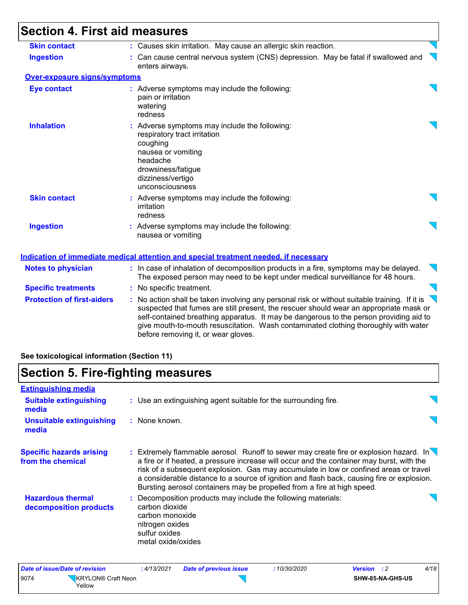| <b>Skin contact</b>               | : Causes skin irritation. May cause an allergic skin reaction.                                                                                                                                                                                                                                                                                                                                                              |  |
|-----------------------------------|-----------------------------------------------------------------------------------------------------------------------------------------------------------------------------------------------------------------------------------------------------------------------------------------------------------------------------------------------------------------------------------------------------------------------------|--|
| <b>Ingestion</b>                  | : Can cause central nervous system (CNS) depression. May be fatal if swallowed and<br>enters airways.                                                                                                                                                                                                                                                                                                                       |  |
| Over-exposure signs/symptoms      |                                                                                                                                                                                                                                                                                                                                                                                                                             |  |
| <b>Eye contact</b>                | : Adverse symptoms may include the following:<br>pain or irritation<br>watering<br>redness                                                                                                                                                                                                                                                                                                                                  |  |
| <b>Inhalation</b>                 | : Adverse symptoms may include the following:<br>respiratory tract irritation<br>coughing<br>nausea or vomiting<br>headache<br>drowsiness/fatigue<br>dizziness/vertigo<br>unconsciousness                                                                                                                                                                                                                                   |  |
| <b>Skin contact</b>               | : Adverse symptoms may include the following:<br>irritation<br>redness                                                                                                                                                                                                                                                                                                                                                      |  |
| <b>Ingestion</b>                  | : Adverse symptoms may include the following:<br>nausea or vomiting                                                                                                                                                                                                                                                                                                                                                         |  |
|                                   | Indication of immediate medical attention and special treatment needed, if necessary                                                                                                                                                                                                                                                                                                                                        |  |
| <b>Notes to physician</b>         | : In case of inhalation of decomposition products in a fire, symptoms may be delayed.<br>The exposed person may need to be kept under medical surveillance for 48 hours.                                                                                                                                                                                                                                                    |  |
| <b>Specific treatments</b>        | : No specific treatment.                                                                                                                                                                                                                                                                                                                                                                                                    |  |
| <b>Protection of first-aiders</b> | : No action shall be taken involving any personal risk or without suitable training. If it is $\setminus$<br>suspected that fumes are still present, the rescuer should wear an appropriate mask or<br>self-contained breathing apparatus. It may be dangerous to the person providing aid to<br>give mouth-to-mouth resuscitation. Wash contaminated clothing thoroughly with water<br>before removing it, or wear gloves. |  |

### **See toxicological information (Section 11)**

# **Section 5. Fire-fighting measures**

| <b>Extinguishing media</b>                           |                                                                                                                                                                                                                                                                                                                                                                                                                                                                   |  |
|------------------------------------------------------|-------------------------------------------------------------------------------------------------------------------------------------------------------------------------------------------------------------------------------------------------------------------------------------------------------------------------------------------------------------------------------------------------------------------------------------------------------------------|--|
| <b>Suitable extinguishing</b><br>media               | : Use an extinguishing agent suitable for the surrounding fire.                                                                                                                                                                                                                                                                                                                                                                                                   |  |
| <b>Unsuitable extinguishing</b><br>media             | : None known.                                                                                                                                                                                                                                                                                                                                                                                                                                                     |  |
| <b>Specific hazards arising</b><br>from the chemical | : Extremely flammable aerosol. Runoff to sewer may create fire or explosion hazard. In $\setminus$<br>a fire or if heated, a pressure increase will occur and the container may burst, with the<br>risk of a subsequent explosion. Gas may accumulate in low or confined areas or travel<br>a considerable distance to a source of ignition and flash back, causing fire or explosion.<br>Bursting aerosol containers may be propelled from a fire at high speed. |  |
| <b>Hazardous thermal</b><br>decomposition products   | : Decomposition products may include the following materials:<br>carbon dioxide<br>carbon monoxide<br>nitrogen oxides<br>sulfur oxides<br>metal oxide/oxides                                                                                                                                                                                                                                                                                                      |  |

|      | Date of issue/Date of revision | :4/13/2021 | Date of previous issue | <i>10/30/2020</i> | Version |                  | 4/18 |
|------|--------------------------------|------------|------------------------|-------------------|---------|------------------|------|
| 9074 | KRYLON® Craft Neon<br>Yellow   |            |                        |                   |         | SHW-85-NA-GHS-US |      |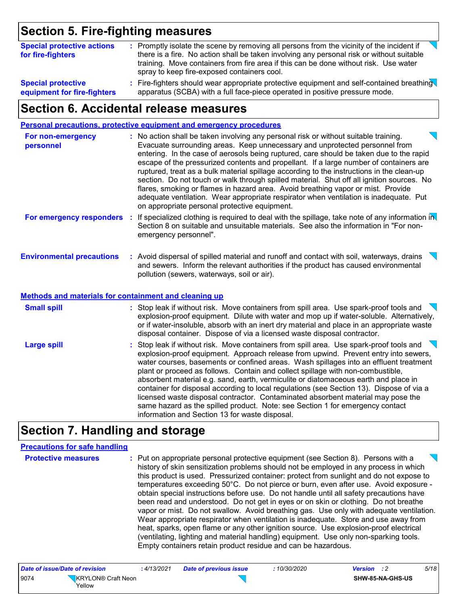### **Section 5. Fire-fighting measures**

| <b>Special protective actions</b><br>for fire-fighters   | : Promptly isolate the scene by removing all persons from the vicinity of the incident if<br>there is a fire. No action shall be taken involving any personal risk or without suitable<br>training. Move containers from fire area if this can be done without risk. Use water |
|----------------------------------------------------------|--------------------------------------------------------------------------------------------------------------------------------------------------------------------------------------------------------------------------------------------------------------------------------|
|                                                          | spray to keep fire-exposed containers cool.                                                                                                                                                                                                                                    |
| <b>Special protective</b><br>equipment for fire-fighters | : Fire-fighters should wear appropriate protective equipment and self-contained breathing<br>apparatus (SCBA) with a full face-piece operated in positive pressure mode.                                                                                                       |

### **Section 6. Accidental release measures**

|                                                                                                  | <b>Personal precautions, protective equipment and emergency procedures</b>                                                                                                                                                                                                                                                                                                                                                                                                                                                                                                                                                                                                                                                                                                       |
|--------------------------------------------------------------------------------------------------|----------------------------------------------------------------------------------------------------------------------------------------------------------------------------------------------------------------------------------------------------------------------------------------------------------------------------------------------------------------------------------------------------------------------------------------------------------------------------------------------------------------------------------------------------------------------------------------------------------------------------------------------------------------------------------------------------------------------------------------------------------------------------------|
| For non-emergency<br>personnel                                                                   | : No action shall be taken involving any personal risk or without suitable training.<br>Evacuate surrounding areas. Keep unnecessary and unprotected personnel from<br>entering. In the case of aerosols being ruptured, care should be taken due to the rapid<br>escape of the pressurized contents and propellant. If a large number of containers are<br>ruptured, treat as a bulk material spillage according to the instructions in the clean-up<br>section. Do not touch or walk through spilled material. Shut off all ignition sources. No<br>flares, smoking or flames in hazard area. Avoid breathing vapor or mist. Provide<br>adequate ventilation. Wear appropriate respirator when ventilation is inadequate. Put<br>on appropriate personal protective equipment. |
| For emergency responders                                                                         | : If specialized clothing is required to deal with the spillage, take note of any information in<br>Section 8 on suitable and unsuitable materials. See also the information in "For non-<br>emergency personnel".                                                                                                                                                                                                                                                                                                                                                                                                                                                                                                                                                               |
| <b>Environmental precautions</b><br><b>Methods and materials for containment and cleaning up</b> | : Avoid dispersal of spilled material and runoff and contact with soil, waterways, drains<br>and sewers. Inform the relevant authorities if the product has caused environmental<br>pollution (sewers, waterways, soil or air).                                                                                                                                                                                                                                                                                                                                                                                                                                                                                                                                                  |
|                                                                                                  |                                                                                                                                                                                                                                                                                                                                                                                                                                                                                                                                                                                                                                                                                                                                                                                  |
| <b>Small spill</b>                                                                               | : Stop leak if without risk. Move containers from spill area. Use spark-proof tools and<br>$\sum$<br>explosion-proof equipment. Dilute with water and mop up if water-soluble. Alternatively,<br>or if water-insoluble, absorb with an inert dry material and place in an appropriate waste<br>disposal container. Dispose of via a licensed waste disposal contractor.                                                                                                                                                                                                                                                                                                                                                                                                          |
| <b>Large spill</b>                                                                               | : Stop leak if without risk. Move containers from spill area. Use spark-proof tools and<br>$\sum$<br>explosion-proof equipment. Approach release from upwind. Prevent entry into sewers,<br>water courses, basements or confined areas. Wash spillages into an effluent treatment<br>plant or proceed as follows. Contain and collect spillage with non-combustible,<br>absorbent material e.g. sand, earth, vermiculite or diatomaceous earth and place in<br>container for disposal according to local regulations (see Section 13). Dispose of via a<br>licensed waste disposal contractor. Contaminated absorbent material may pose the<br>same hazard as the spilled product. Note: see Section 1 for emergency contact<br>information and Section 13 for waste disposal.   |

### **Section 7. Handling and storage**

#### **Precautions for safe handling**

**Protective measures Exercise Exercise Exercise in a protective equipment (see Section 8). Persons with a set of protection of the set of protective measures in the set of protection of protection of protection of protec** history of skin sensitization problems should not be employed in any process in which this product is used. Pressurized container: protect from sunlight and do not expose to temperatures exceeding 50°C. Do not pierce or burn, even after use. Avoid exposure obtain special instructions before use. Do not handle until all safety precautions have been read and understood. Do not get in eyes or on skin or clothing. Do not breathe vapor or mist. Do not swallow. Avoid breathing gas. Use only with adequate ventilation. Wear appropriate respirator when ventilation is inadequate. Store and use away from heat, sparks, open flame or any other ignition source. Use explosion-proof electrical (ventilating, lighting and material handling) equipment. Use only non-sparking tools. Empty containers retain product residue and can be hazardous.

| Date of issue/Date of revision |                              | 4/13/2021 | <b>Date of previous issue</b> | 10/30/2020 | <b>Version</b> : 2 | 5/18 |
|--------------------------------|------------------------------|-----------|-------------------------------|------------|--------------------|------|
| 9074                           | KRYLON® Craft Neon<br>Yellow |           |                               |            | SHW-85-NA-GHS-US   |      |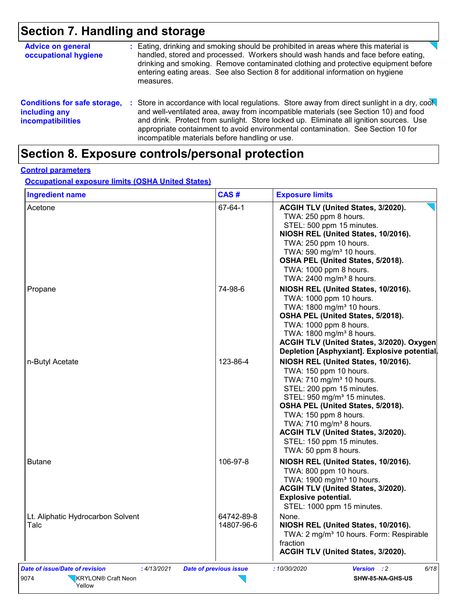# **Section 7. Handling and storage**

| <b>Advice on general</b><br>occupational hygiene                                 |    | : Eating, drinking and smoking should be prohibited in areas where this material is<br>handled, stored and processed. Workers should wash hands and face before eating,<br>drinking and smoking. Remove contaminated clothing and protective equipment before<br>entering eating areas. See also Section 8 for additional information on hygiene<br>measures.                                                      |
|----------------------------------------------------------------------------------|----|--------------------------------------------------------------------------------------------------------------------------------------------------------------------------------------------------------------------------------------------------------------------------------------------------------------------------------------------------------------------------------------------------------------------|
| <b>Conditions for safe storage,</b><br>including any<br><b>incompatibilities</b> | ÷. | Store in accordance with local regulations. Store away from direct sunlight in a dry, cool<br>and well-ventilated area, away from incompatible materials (see Section 10) and food<br>and drink. Protect from sunlight. Store locked up. Eliminate all ignition sources. Use<br>appropriate containment to avoid environmental contamination. See Section 10 for<br>incompatible materials before handling or use. |

# **Section 8. Exposure controls/personal protection**

#### **Control parameters**

**Occupational exposure limits (OSHA United States)**

| <b>Ingredient name</b>                    | CAS#                     | <b>Exposure limits</b>                                                                                                                                                                                                                                                                                                                                                        |
|-------------------------------------------|--------------------------|-------------------------------------------------------------------------------------------------------------------------------------------------------------------------------------------------------------------------------------------------------------------------------------------------------------------------------------------------------------------------------|
| Acetone                                   | 67-64-1                  | ACGIH TLV (United States, 3/2020).<br>TWA: 250 ppm 8 hours.<br>STEL: 500 ppm 15 minutes.<br>NIOSH REL (United States, 10/2016).<br>TWA: 250 ppm 10 hours.<br>TWA: 590 mg/m <sup>3</sup> 10 hours.<br>OSHA PEL (United States, 5/2018).<br>TWA: 1000 ppm 8 hours.<br>TWA: 2400 mg/m <sup>3</sup> 8 hours.                                                                      |
| Propane                                   | 74-98-6                  | NIOSH REL (United States, 10/2016).<br>TWA: 1000 ppm 10 hours.<br>TWA: 1800 mg/m <sup>3</sup> 10 hours.<br>OSHA PEL (United States, 5/2018).<br>TWA: 1000 ppm 8 hours.<br>TWA: 1800 mg/m <sup>3</sup> 8 hours.<br>ACGIH TLV (United States, 3/2020). Oxygen<br>Depletion [Asphyxiant]. Explosive potential.                                                                   |
| n-Butyl Acetate                           | 123-86-4                 | NIOSH REL (United States, 10/2016).<br>TWA: 150 ppm 10 hours.<br>TWA: 710 mg/m <sup>3</sup> 10 hours.<br>STEL: 200 ppm 15 minutes.<br>STEL: 950 mg/m <sup>3</sup> 15 minutes.<br>OSHA PEL (United States, 5/2018).<br>TWA: 150 ppm 8 hours.<br>TWA: 710 mg/m <sup>3</sup> 8 hours.<br>ACGIH TLV (United States, 3/2020).<br>STEL: 150 ppm 15 minutes.<br>TWA: 50 ppm 8 hours. |
| <b>Butane</b>                             | 106-97-8                 | NIOSH REL (United States, 10/2016).<br>TWA: 800 ppm 10 hours.<br>TWA: 1900 mg/m <sup>3</sup> 10 hours.<br>ACGIH TLV (United States, 3/2020).<br><b>Explosive potential.</b><br>STEL: 1000 ppm 15 minutes.                                                                                                                                                                     |
| Lt. Aliphatic Hydrocarbon Solvent<br>Talc | 64742-89-8<br>14807-96-6 | None.<br>NIOSH REL (United States, 10/2016).<br>TWA: 2 mg/m <sup>3</sup> 10 hours. Form: Respirable<br>fraction<br>ACGIH TLV (United States, 3/2020).                                                                                                                                                                                                                         |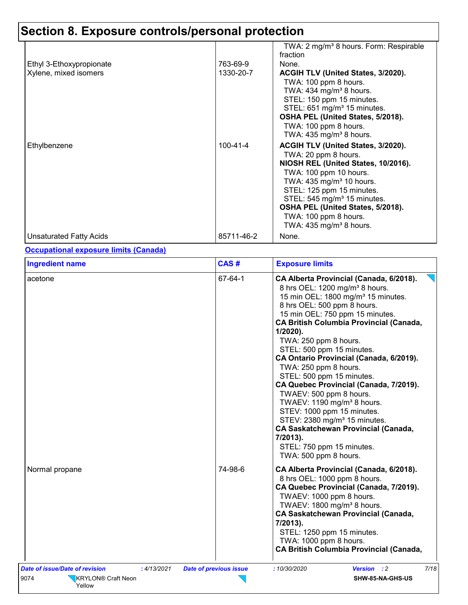|                                |                | TWA: 2 mg/m <sup>3</sup> 8 hours. Form: Respirable |
|--------------------------------|----------------|----------------------------------------------------|
|                                |                | fraction                                           |
| Ethyl 3-Ethoxypropionate       | 763-69-9       | None.                                              |
| Xylene, mixed isomers          | 1330-20-7      | ACGIH TLV (United States, 3/2020).                 |
|                                |                | TWA: 100 ppm 8 hours.                              |
|                                |                | TWA: 434 mg/m <sup>3</sup> 8 hours.                |
|                                |                | STEL: 150 ppm 15 minutes.                          |
|                                |                | STEL: 651 mg/m <sup>3</sup> 15 minutes.            |
|                                |                | OSHA PEL (United States, 5/2018).                  |
|                                |                | TWA: 100 ppm 8 hours.                              |
|                                |                | TWA: $435 \text{ mg/m}^3$ 8 hours.                 |
| Ethylbenzene                   | $100 - 41 - 4$ | ACGIH TLV (United States, 3/2020).                 |
|                                |                | TWA: 20 ppm 8 hours.                               |
|                                |                | NIOSH REL (United States, 10/2016).                |
|                                |                | TWA: 100 ppm 10 hours.                             |
|                                |                | TWA: 435 mg/m <sup>3</sup> 10 hours.               |
|                                |                | STEL: 125 ppm 15 minutes.                          |
|                                |                | STEL: 545 mg/m <sup>3</sup> 15 minutes.            |
|                                |                | OSHA PEL (United States, 5/2018).                  |
|                                |                | TWA: 100 ppm 8 hours.                              |
|                                |                | TWA: $435 \text{ mg/m}^3$ 8 hours.                 |
| <b>Unsaturated Fatty Acids</b> | 85711-46-2     | None.                                              |

#### **Occupational exposure limits (Canada)**

| <b>Ingredient name</b>                                                            | CAS#                          | <b>Exposure limits</b>                                                                                                                                                                                                                                                                                                                                                                                                                                                                                                                                                                                                                                                                                                                     |
|-----------------------------------------------------------------------------------|-------------------------------|--------------------------------------------------------------------------------------------------------------------------------------------------------------------------------------------------------------------------------------------------------------------------------------------------------------------------------------------------------------------------------------------------------------------------------------------------------------------------------------------------------------------------------------------------------------------------------------------------------------------------------------------------------------------------------------------------------------------------------------------|
| acetone                                                                           | 67-64-1                       | CA Alberta Provincial (Canada, 6/2018).<br>8 hrs OEL: 1200 mg/m <sup>3</sup> 8 hours.<br>15 min OEL: 1800 mg/m <sup>3</sup> 15 minutes.<br>8 hrs OEL: 500 ppm 8 hours.<br>15 min OEL: 750 ppm 15 minutes.<br><b>CA British Columbia Provincial (Canada,</b><br>$1/2020$ ).<br>TWA: 250 ppm 8 hours.<br>STEL: 500 ppm 15 minutes.<br>CA Ontario Provincial (Canada, 6/2019).<br>TWA: 250 ppm 8 hours.<br>STEL: 500 ppm 15 minutes.<br>CA Quebec Provincial (Canada, 7/2019).<br>TWAEV: 500 ppm 8 hours.<br>TWAEV: 1190 mg/m <sup>3</sup> 8 hours.<br>STEV: 1000 ppm 15 minutes.<br>STEV: 2380 mg/m <sup>3</sup> 15 minutes.<br><b>CA Saskatchewan Provincial (Canada,</b><br>7/2013).<br>STEL: 750 ppm 15 minutes.<br>TWA: 500 ppm 8 hours. |
| Normal propane                                                                    | 74-98-6                       | CA Alberta Provincial (Canada, 6/2018).<br>8 hrs OEL: 1000 ppm 8 hours.<br>CA Quebec Provincial (Canada, 7/2019).<br>TWAEV: 1000 ppm 8 hours.<br>TWAEV: 1800 mg/m <sup>3</sup> 8 hours.<br><b>CA Saskatchewan Provincial (Canada,</b><br>7/2013).<br>STEL: 1250 ppm 15 minutes.<br>TWA: 1000 ppm 8 hours.<br><b>CA British Columbia Provincial (Canada,</b>                                                                                                                                                                                                                                                                                                                                                                                |
| Date of issue/Date of revision<br>:4/13/2021<br>9074<br><b>KRYLON® Craft Neon</b> | <b>Date of previous issue</b> | 7/18<br>: 10/30/2020<br><b>Version</b> : 2<br>SHW-85-NA-GHS-US                                                                                                                                                                                                                                                                                                                                                                                                                                                                                                                                                                                                                                                                             |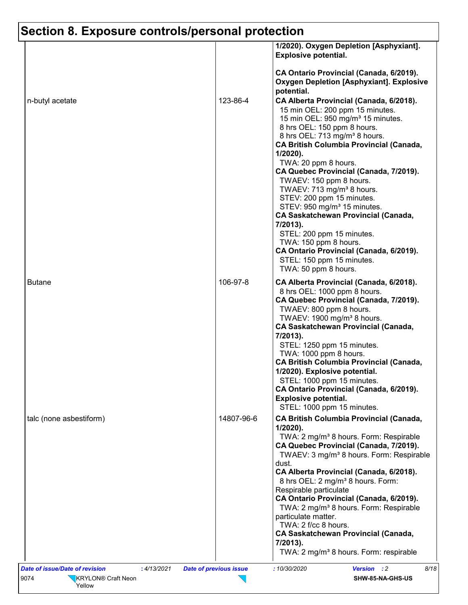|                         |            | 1/2020). Oxygen Depletion [Asphyxiant].<br><b>Explosive potential.</b>                                                                                                                                                                                                                                                                                                                                                                                                                                                                                                                                                                                                                                            |
|-------------------------|------------|-------------------------------------------------------------------------------------------------------------------------------------------------------------------------------------------------------------------------------------------------------------------------------------------------------------------------------------------------------------------------------------------------------------------------------------------------------------------------------------------------------------------------------------------------------------------------------------------------------------------------------------------------------------------------------------------------------------------|
|                         |            | CA Ontario Provincial (Canada, 6/2019).<br><b>Oxygen Depletion [Asphyxiant]. Explosive</b>                                                                                                                                                                                                                                                                                                                                                                                                                                                                                                                                                                                                                        |
| n-butyl acetate         | 123-86-4   | potential.<br>CA Alberta Provincial (Canada, 6/2018).<br>15 min OEL: 200 ppm 15 minutes.<br>15 min OEL: 950 mg/m <sup>3</sup> 15 minutes.<br>8 hrs OEL: 150 ppm 8 hours.<br>8 hrs OEL: 713 mg/m <sup>3</sup> 8 hours.<br><b>CA British Columbia Provincial (Canada,</b><br>1/2020).<br>TWA: 20 ppm 8 hours.<br>CA Quebec Provincial (Canada, 7/2019).<br>TWAEV: 150 ppm 8 hours.<br>TWAEV: 713 mg/m <sup>3</sup> 8 hours.<br>STEV: 200 ppm 15 minutes.<br>STEV: 950 mg/m <sup>3</sup> 15 minutes.<br><b>CA Saskatchewan Provincial (Canada,</b><br>7/2013).<br>STEL: 200 ppm 15 minutes.<br>TWA: 150 ppm 8 hours.<br>CA Ontario Provincial (Canada, 6/2019).<br>STEL: 150 ppm 15 minutes.<br>TWA: 50 ppm 8 hours. |
| <b>Butane</b>           | 106-97-8   | CA Alberta Provincial (Canada, 6/2018).<br>8 hrs OEL: 1000 ppm 8 hours.<br>CA Quebec Provincial (Canada, 7/2019).<br>TWAEV: 800 ppm 8 hours.<br>TWAEV: 1900 mg/m <sup>3</sup> 8 hours.<br><b>CA Saskatchewan Provincial (Canada,</b><br>7/2013).<br>STEL: 1250 ppm 15 minutes.<br>TWA: 1000 ppm 8 hours.<br><b>CA British Columbia Provincial (Canada,</b><br>1/2020). Explosive potential.<br>STEL: 1000 ppm 15 minutes.<br>CA Ontario Provincial (Canada, 6/2019).                                                                                                                                                                                                                                              |
| talc (none asbestiform) | 14807-96-6 | <b>Explosive potential.</b><br>STEL: 1000 ppm 15 minutes.<br><b>CA British Columbia Provincial (Canada,</b><br>1/2020).                                                                                                                                                                                                                                                                                                                                                                                                                                                                                                                                                                                           |
|                         |            | TWA: 2 mg/m <sup>3</sup> 8 hours. Form: Respirable<br>CA Quebec Provincial (Canada, 7/2019).<br>TWAEV: 3 mg/m <sup>3</sup> 8 hours. Form: Respirable<br>dust.<br>CA Alberta Provincial (Canada, 6/2018).<br>8 hrs OEL: 2 mg/m <sup>3</sup> 8 hours. Form:<br>Respirable particulate<br>CA Ontario Provincial (Canada, 6/2019).<br>TWA: 2 mg/m <sup>3</sup> 8 hours. Form: Respirable<br>particulate matter.<br>TWA: 2 f/cc 8 hours.<br><b>CA Saskatchewan Provincial (Canada,</b><br>7/2013).<br>TWA: 2 mg/m <sup>3</sup> 8 hours. Form: respirable                                                                                                                                                               |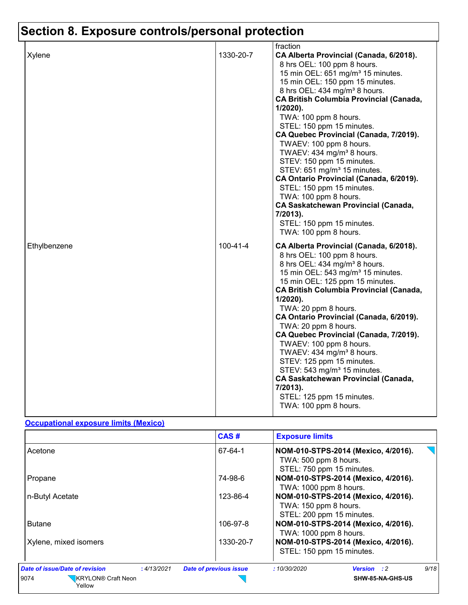|              | fraction                                                                                                                                                                                                                                                                                                                                                                                                                                                                                                                                                                                                                                                           |
|--------------|--------------------------------------------------------------------------------------------------------------------------------------------------------------------------------------------------------------------------------------------------------------------------------------------------------------------------------------------------------------------------------------------------------------------------------------------------------------------------------------------------------------------------------------------------------------------------------------------------------------------------------------------------------------------|
| Xylene       | 1330-20-7<br>CA Alberta Provincial (Canada, 6/2018).                                                                                                                                                                                                                                                                                                                                                                                                                                                                                                                                                                                                               |
|              | 8 hrs OEL: 100 ppm 8 hours.                                                                                                                                                                                                                                                                                                                                                                                                                                                                                                                                                                                                                                        |
|              | 15 min OEL: 651 mg/m <sup>3</sup> 15 minutes.                                                                                                                                                                                                                                                                                                                                                                                                                                                                                                                                                                                                                      |
|              | 15 min OEL: 150 ppm 15 minutes.                                                                                                                                                                                                                                                                                                                                                                                                                                                                                                                                                                                                                                    |
|              | 8 hrs OEL: 434 mg/m <sup>3</sup> 8 hours.                                                                                                                                                                                                                                                                                                                                                                                                                                                                                                                                                                                                                          |
|              | <b>CA British Columbia Provincial (Canada,</b>                                                                                                                                                                                                                                                                                                                                                                                                                                                                                                                                                                                                                     |
|              | $1/2020$ ).                                                                                                                                                                                                                                                                                                                                                                                                                                                                                                                                                                                                                                                        |
|              | TWA: 100 ppm 8 hours.                                                                                                                                                                                                                                                                                                                                                                                                                                                                                                                                                                                                                                              |
|              | STEL: 150 ppm 15 minutes.                                                                                                                                                                                                                                                                                                                                                                                                                                                                                                                                                                                                                                          |
|              | CA Quebec Provincial (Canada, 7/2019).                                                                                                                                                                                                                                                                                                                                                                                                                                                                                                                                                                                                                             |
|              | TWAEV: 100 ppm 8 hours.                                                                                                                                                                                                                                                                                                                                                                                                                                                                                                                                                                                                                                            |
|              | TWAEV: 434 mg/m <sup>3</sup> 8 hours.                                                                                                                                                                                                                                                                                                                                                                                                                                                                                                                                                                                                                              |
|              | STEV: 150 ppm 15 minutes.                                                                                                                                                                                                                                                                                                                                                                                                                                                                                                                                                                                                                                          |
|              | STEV: 651 mg/m <sup>3</sup> 15 minutes.                                                                                                                                                                                                                                                                                                                                                                                                                                                                                                                                                                                                                            |
|              | CA Ontario Provincial (Canada, 6/2019).                                                                                                                                                                                                                                                                                                                                                                                                                                                                                                                                                                                                                            |
|              | STEL: 150 ppm 15 minutes.                                                                                                                                                                                                                                                                                                                                                                                                                                                                                                                                                                                                                                          |
|              | TWA: 100 ppm 8 hours.<br><b>CA Saskatchewan Provincial (Canada,</b>                                                                                                                                                                                                                                                                                                                                                                                                                                                                                                                                                                                                |
|              | 7/2013).                                                                                                                                                                                                                                                                                                                                                                                                                                                                                                                                                                                                                                                           |
|              | STEL: 150 ppm 15 minutes.                                                                                                                                                                                                                                                                                                                                                                                                                                                                                                                                                                                                                                          |
|              | TWA: 100 ppm 8 hours.                                                                                                                                                                                                                                                                                                                                                                                                                                                                                                                                                                                                                                              |
| Ethylbenzene | $100 - 41 - 4$<br>CA Alberta Provincial (Canada, 6/2018).<br>8 hrs OEL: 100 ppm 8 hours.<br>8 hrs OEL: 434 mg/m <sup>3</sup> 8 hours.<br>15 min OEL: 543 mg/m <sup>3</sup> 15 minutes.<br>15 min OEL: 125 ppm 15 minutes.<br><b>CA British Columbia Provincial (Canada,</b><br>$1/2020$ ).<br>TWA: 20 ppm 8 hours.<br>CA Ontario Provincial (Canada, 6/2019).<br>TWA: 20 ppm 8 hours.<br>CA Quebec Provincial (Canada, 7/2019).<br>TWAEV: 100 ppm 8 hours.<br>TWAEV: 434 mg/m <sup>3</sup> 8 hours.<br>STEV: 125 ppm 15 minutes.<br>STEV: 543 mg/m <sup>3</sup> 15 minutes.<br><b>CA Saskatchewan Provincial (Canada,</b><br>7/2013).<br>STEL: 125 ppm 15 minutes. |
|              | TWA: 100 ppm 8 hours.                                                                                                                                                                                                                                                                                                                                                                                                                                                                                                                                                                                                                                              |

#### **Occupational exposure limits (Mexico)**

|                                                      | CAS#                          | <b>Exposure limits</b>                                                                    |
|------------------------------------------------------|-------------------------------|-------------------------------------------------------------------------------------------|
| Acetone                                              | 67-64-1                       | NOM-010-STPS-2014 (Mexico, 4/2016).<br>TWA: 500 ppm 8 hours.<br>STEL: 750 ppm 15 minutes. |
| Propane                                              | 74-98-6                       | NOM-010-STPS-2014 (Mexico, 4/2016).<br>TWA: 1000 ppm 8 hours.                             |
| n-Butyl Acetate                                      | 123-86-4                      | NOM-010-STPS-2014 (Mexico, 4/2016).<br>TWA: 150 ppm 8 hours.<br>STEL: 200 ppm 15 minutes. |
| <b>Butane</b>                                        | 106-97-8                      | NOM-010-STPS-2014 (Mexico, 4/2016).<br>TWA: 1000 ppm 8 hours.                             |
| Xylene, mixed isomers                                | 1330-20-7                     | NOM-010-STPS-2014 (Mexico, 4/2016).<br>STEL: 150 ppm 15 minutes.                          |
| <b>Date of issue/Date of revision</b><br>: 4/13/2021 | <b>Date of previous issue</b> | 9/18<br>: 10/30/2020<br><b>Version</b> : 2                                                |
| <b>KRYLON®</b> Craft Neon<br>9074<br>Yellow          |                               | SHW-85-NA-GHS-US                                                                          |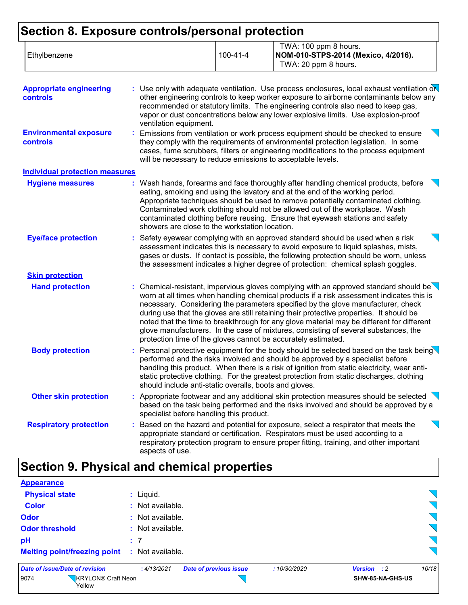| Ethylbenzene | $100 - 41 - 4$ | TWA: 100 ppm 8 hours.<br>NOM-010-STPS-2014 (Mexico, 4/2016). |
|--------------|----------------|--------------------------------------------------------------|
|              |                | TWA: 20 ppm 8 hours.                                         |

| <b>Appropriate engineering</b><br>controls | : Use only with adequate ventilation. Use process enclosures, local exhaust ventilation on<br>other engineering controls to keep worker exposure to airborne contaminants below any<br>recommended or statutory limits. The engineering controls also need to keep gas,<br>vapor or dust concentrations below any lower explosive limits. Use explosion-proof<br>ventilation equipment.                                                                                                                                                                                                                                          |
|--------------------------------------------|----------------------------------------------------------------------------------------------------------------------------------------------------------------------------------------------------------------------------------------------------------------------------------------------------------------------------------------------------------------------------------------------------------------------------------------------------------------------------------------------------------------------------------------------------------------------------------------------------------------------------------|
| <b>Environmental exposure</b><br>controls  | Emissions from ventilation or work process equipment should be checked to ensure<br>they comply with the requirements of environmental protection legislation. In some<br>cases, fume scrubbers, filters or engineering modifications to the process equipment<br>will be necessary to reduce emissions to acceptable levels.                                                                                                                                                                                                                                                                                                    |
| <b>Individual protection measures</b>      |                                                                                                                                                                                                                                                                                                                                                                                                                                                                                                                                                                                                                                  |
| <b>Hygiene measures</b>                    | : Wash hands, forearms and face thoroughly after handling chemical products, before<br>eating, smoking and using the lavatory and at the end of the working period.<br>Appropriate techniques should be used to remove potentially contaminated clothing.<br>Contaminated work clothing should not be allowed out of the workplace. Wash<br>contaminated clothing before reusing. Ensure that eyewash stations and safety<br>showers are close to the workstation location.                                                                                                                                                      |
| <b>Eye/face protection</b>                 | Safety eyewear complying with an approved standard should be used when a risk<br>t.<br>assessment indicates this is necessary to avoid exposure to liquid splashes, mists,<br>gases or dusts. If contact is possible, the following protection should be worn, unless<br>the assessment indicates a higher degree of protection: chemical splash goggles.                                                                                                                                                                                                                                                                        |
| <b>Skin protection</b>                     |                                                                                                                                                                                                                                                                                                                                                                                                                                                                                                                                                                                                                                  |
| <b>Hand protection</b>                     | Chemical-resistant, impervious gloves complying with an approved standard should be $\setminus$<br>worn at all times when handling chemical products if a risk assessment indicates this is<br>necessary. Considering the parameters specified by the glove manufacturer, check<br>during use that the gloves are still retaining their protective properties. It should be<br>noted that the time to breakthrough for any glove material may be different for different<br>glove manufacturers. In the case of mixtures, consisting of several substances, the<br>protection time of the gloves cannot be accurately estimated. |
| <b>Body protection</b>                     | : Personal protective equipment for the body should be selected based on the task being<br>performed and the risks involved and should be approved by a specialist before<br>handling this product. When there is a risk of ignition from static electricity, wear anti-<br>static protective clothing. For the greatest protection from static discharges, clothing<br>should include anti-static overalls, boots and gloves.                                                                                                                                                                                                   |
| <b>Other skin protection</b>               | : Appropriate footwear and any additional skin protection measures should be selected<br>╲<br>based on the task being performed and the risks involved and should be approved by a<br>specialist before handling this product.                                                                                                                                                                                                                                                                                                                                                                                                   |
| <b>Respiratory protection</b>              | Based on the hazard and potential for exposure, select a respirator that meets the<br>ř.<br>appropriate standard or certification. Respirators must be used according to a<br>respiratory protection program to ensure proper fitting, training, and other important<br>aspects of use.                                                                                                                                                                                                                                                                                                                                          |

## **Section 9. Physical and chemical properties**

9074 **KRYLON®** Craft Neon Yellow

| <b>Appearance</b>                                    |           |                  |                               |             |  |                  |       |
|------------------------------------------------------|-----------|------------------|-------------------------------|-------------|--|------------------|-------|
| <b>Physical state</b>                                |           | $:$ Liquid.      |                               |             |  |                  |       |
| <b>Color</b>                                         |           | : Not available. |                               |             |  |                  |       |
| <b>Odor</b>                                          |           | : Not available. |                               |             |  |                  |       |
| <b>Odor threshold</b>                                |           | : Not available. |                               |             |  |                  |       |
| pH                                                   | $\cdot$ 7 |                  |                               |             |  |                  |       |
| <b>Melting point/freezing point : Not available.</b> |           |                  |                               |             |  |                  |       |
| Date of issue/Date of revision                       |           | : 4/13/2021      | <b>Date of previous issue</b> | :10/30/2020 |  | Version : 2      | 10/18 |
| <b>KRYLON® Craft Neon</b><br>9074                    |           |                  |                               |             |  | SHW-85-NA-GHS-US |       |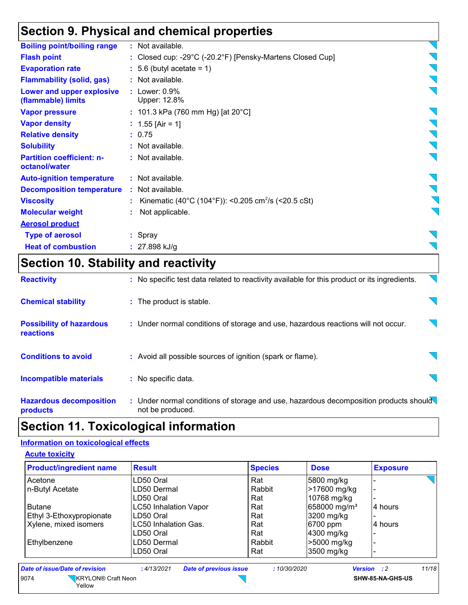### **Section 9. Physical and chemical properties**

| <b>Boiling point/boiling range</b>                | : Not available.                                                  |                |
|---------------------------------------------------|-------------------------------------------------------------------|----------------|
| <b>Flash point</b>                                | : Closed cup: -29°C (-20.2°F) [Pensky-Martens Closed Cup]         |                |
| <b>Evaporation rate</b>                           | $: 5.6$ (butyl acetate = 1)                                       |                |
| <b>Flammability (solid, gas)</b>                  | : Not available.                                                  |                |
| Lower and upper explosive<br>(flammable) limits   | $:$ Lower: $0.9\%$<br>Upper: 12.8%                                |                |
| <b>Vapor pressure</b>                             | : 101.3 kPa (760 mm Hg) [at $20^{\circ}$ C]                       |                |
| <b>Vapor density</b>                              | : $1.55$ [Air = 1]                                                |                |
| <b>Relative density</b>                           | : 0.75                                                            |                |
| <b>Solubility</b>                                 | : Not available.                                                  | $\sum_{i=1}^n$ |
| <b>Partition coefficient: n-</b><br>octanol/water | : Not available.                                                  |                |
| <b>Auto-ignition temperature</b>                  | : Not available.                                                  |                |
| <b>Decomposition temperature</b>                  | : Not available.                                                  |                |
| <b>Viscosity</b>                                  | : Kinematic (40°C (104°F)): <0.205 cm <sup>2</sup> /s (<20.5 cSt) |                |
| <b>Molecular weight</b>                           | Not applicable.                                                   |                |
| <b>Aerosol product</b>                            |                                                                   |                |
| <b>Type of aerosol</b>                            | : Spray                                                           |                |
| <b>Heat of combustion</b>                         | $: 27.898$ kJ/g                                                   |                |
|                                                   |                                                                   |                |

### **Section 10. Stability and reactivity**

| <b>Reactivity</b>                                   | : No specific test data related to reactivity available for this product or its ingredients.              |  |
|-----------------------------------------------------|-----------------------------------------------------------------------------------------------------------|--|
| <b>Chemical stability</b>                           | : The product is stable.                                                                                  |  |
| <b>Possibility of hazardous</b><br><b>reactions</b> | : Under normal conditions of storage and use, hazardous reactions will not occur.                         |  |
| <b>Conditions to avoid</b>                          | : Avoid all possible sources of ignition (spark or flame).                                                |  |
| <b>Incompatible materials</b>                       | : No specific data.                                                                                       |  |
| <b>Hazardous decomposition</b><br>products          | : Under normal conditions of storage and use, hazardous decomposition products should<br>not be produced. |  |

### **Section 11. Toxicological information**

#### **Information on toxicological effects**

**Acute toxicity**

| <b>Product/ingredient name</b> | <b>Result</b>                | <b>Species</b> | <b>Dose</b>              | <b>Exposure</b> |
|--------------------------------|------------------------------|----------------|--------------------------|-----------------|
| Acetone                        | LD50 Oral                    | Rat            | 5800 mg/kg               |                 |
| n-Butyl Acetate                | LD50 Dermal                  | Rabbit         | >17600 mg/kg             |                 |
|                                | LD50 Oral                    | Rat            | 10768 mg/kg              |                 |
| <b>Butane</b>                  | <b>LC50 Inhalation Vapor</b> | Rat            | 658000 mg/m <sup>3</sup> | 4 hours         |
| Ethyl 3-Ethoxypropionate       | LD50 Oral                    | Rat            | 3200 mg/kg               |                 |
| Xylene, mixed isomers          | <b>LC50 Inhalation Gas.</b>  | Rat            | 6700 ppm                 | 4 hours         |
|                                | LD50 Oral                    | Rat            | 4300 mg/kg               |                 |
| Ethylbenzene                   | LD50 Dermal                  | Rabbit         | >5000 mg/kg              |                 |
|                                | LD50 Oral                    | Rat            | 3500 mg/kg               |                 |

| Date of issue/Date of revision |                              | : 4/13/2021 | <b>Date of previous issue</b> | 10/30/2020 | Version |                  | 11/18 |
|--------------------------------|------------------------------|-------------|-------------------------------|------------|---------|------------------|-------|
| 9074                           | KRYLON® Craft Neon<br>Yellow |             |                               |            |         | SHW-85-NA-GHS-US |       |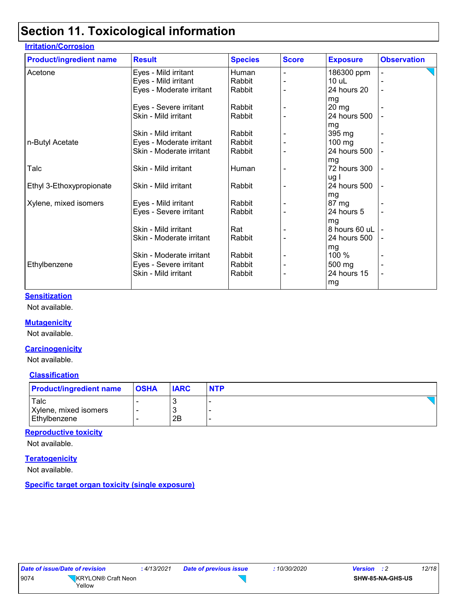### **Section 11. Toxicological information**

| <b>Product/ingredient name</b> | <b>Result</b>            | <b>Species</b> | <b>Score</b> | <b>Exposure</b> | <b>Observation</b> |
|--------------------------------|--------------------------|----------------|--------------|-----------------|--------------------|
| Acetone                        | Eyes - Mild irritant     | Human          |              | 186300 ppm      |                    |
|                                | Eyes - Mild irritant     | Rabbit         |              | $10$ uL         |                    |
|                                | Eyes - Moderate irritant | Rabbit         |              | 24 hours 20     |                    |
|                                |                          |                |              | mg              |                    |
|                                | Eyes - Severe irritant   | Rabbit         |              | $20 \, mg$      |                    |
|                                | Skin - Mild irritant     | Rabbit         |              | 24 hours 500    |                    |
|                                |                          |                |              | mg              |                    |
|                                | Skin - Mild irritant     | Rabbit         |              | 395 mg          |                    |
| n-Butyl Acetate                | Eyes - Moderate irritant | Rabbit         |              | 100 mg          |                    |
|                                | Skin - Moderate irritant | Rabbit         |              | 24 hours 500    |                    |
|                                |                          |                |              | mg              |                    |
| Talc                           | Skin - Mild irritant     | Human          |              | 72 hours 300    |                    |
|                                |                          |                |              | ug I            |                    |
| Ethyl 3-Ethoxypropionate       | Skin - Mild irritant     | Rabbit         |              | 24 hours 500    |                    |
|                                |                          |                |              | mg              |                    |
| Xylene, mixed isomers          | Eyes - Mild irritant     | Rabbit         |              | 87 mg           |                    |
|                                | Eyes - Severe irritant   | Rabbit         |              | 24 hours 5      |                    |
|                                |                          |                |              | mg              |                    |
|                                | Skin - Mild irritant     | Rat            |              | 8 hours 60 uL   |                    |
|                                | Skin - Moderate irritant | Rabbit         |              | 24 hours 500    |                    |
|                                |                          |                |              | mg              |                    |
|                                | Skin - Moderate irritant | Rabbit         |              | 100 %           |                    |
| Ethylbenzene                   | Eyes - Severe irritant   | Rabbit         |              | 500 mg          |                    |
|                                | Skin - Mild irritant     | Rabbit         |              | 24 hours 15     |                    |
|                                |                          |                |              | mg              |                    |
|                                |                          |                |              |                 |                    |

#### **Sensitization**

Not available.

#### **Mutagenicity**

Not available.

#### **Carcinogenicity**

Not available.

#### **Classification**

| <b>Product/ingredient name</b> | <b>OSHA</b> | <b>IARC</b> | <b>NTP</b> |
|--------------------------------|-------------|-------------|------------|
| Talc<br>Xylene, mixed isomers  |             | w           |            |
| Ethylbenzene                   |             | 2B          |            |

#### **Reproductive toxicity**

Not available.

#### **Teratogenicity**

Not available.

**Specific target organ toxicity (single exposure)**

| Date of Issue/Date of revision |                                          | : 4/13/2 |
|--------------------------------|------------------------------------------|----------|
| 9074                           | KRYLON <sup>®</sup> Craft Neon<br>Yellow |          |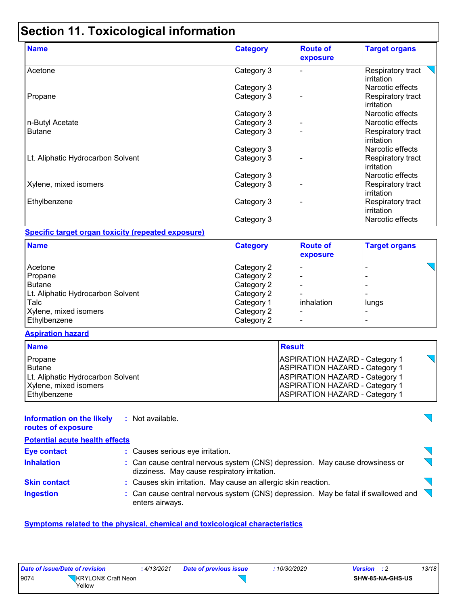### **Section 11. Toxicological information**

| <b>Name</b>                       | <b>Category</b> | <b>Route of</b><br>exposure | <b>Target organs</b>            |
|-----------------------------------|-----------------|-----------------------------|---------------------------------|
| Acetone                           | Category 3      |                             | Respiratory tract<br>irritation |
|                                   | Category 3      |                             | Narcotic effects                |
| Propane                           | Category 3      |                             | Respiratory tract<br>irritation |
|                                   | Category 3      |                             | Narcotic effects                |
| n-Butyl Acetate                   | Category 3      |                             | Narcotic effects                |
| <b>Butane</b>                     | Category 3      |                             | Respiratory tract<br>irritation |
|                                   | Category 3      |                             | Narcotic effects                |
| Lt. Aliphatic Hydrocarbon Solvent | Category 3      |                             | Respiratory tract<br>irritation |
|                                   | Category 3      |                             | Narcotic effects                |
| Xylene, mixed isomers             | Category 3      |                             | Respiratory tract<br>irritation |
| Ethylbenzene                      | Category 3      |                             | Respiratory tract<br>irritation |
|                                   | Category 3      |                             | Narcotic effects                |

#### **Specific target organ toxicity (repeated exposure)**

| <b>Name</b>                       | <b>Category</b> | <b>Route of</b><br>exposure | <b>Target organs</b> |
|-----------------------------------|-----------------|-----------------------------|----------------------|
| Acetone                           | Category 2      |                             |                      |
| Propane                           | Category 2      |                             |                      |
| <b>Butane</b>                     | Category 2      |                             |                      |
| Lt. Aliphatic Hydrocarbon Solvent | Category 2      |                             |                      |
| Talc                              | Category 1      | inhalation                  | lungs                |
| Xylene, mixed isomers             | Category 2      |                             |                      |
| Ethylbenzene                      | Category 2      |                             | -                    |

#### **Aspiration hazard**

| <b>Name</b>                       | <b>Result</b>                         |
|-----------------------------------|---------------------------------------|
| Propane                           | <b>ASPIRATION HAZARD - Category 1</b> |
| <b>Butane</b>                     | <b>ASPIRATION HAZARD - Category 1</b> |
| Lt. Aliphatic Hydrocarbon Solvent | <b>ASPIRATION HAZARD - Category 1</b> |
| Xylene, mixed isomers             | <b>ASPIRATION HAZARD - Category 1</b> |
| Ethylbenzene                      | <b>ASPIRATION HAZARD - Category 1</b> |

#### **Information on the likely :** Not available.

**routes of exposure Potential acute health effects Eye contact :** Causes serious eye irritation. **Inhalation <b>:** Can cause central nervous system (CNS) depression. May cause drowsiness or  $\overline{\phantom{0}}$ dizziness. May cause respiratory irritation. **Skin contact :** Causes skin irritation. May cause an allergic skin reaction. : Can cause central nervous system (CNS) depression. May be fatal if swallowed and **Ingestion :** enters airways.

#### **Symptoms related to the physical, chemical and toxicological characteristics**

|      | Date of issue/Date of revision | : 4/13/2021 | Date of previous issue | 10/30/2020 | <b>Version</b>          | 13/18 |
|------|--------------------------------|-------------|------------------------|------------|-------------------------|-------|
| 9074 | KRYLON® Craft Neon<br>Yellow   |             |                        |            | <b>SHW-85-NA-GHS-US</b> |       |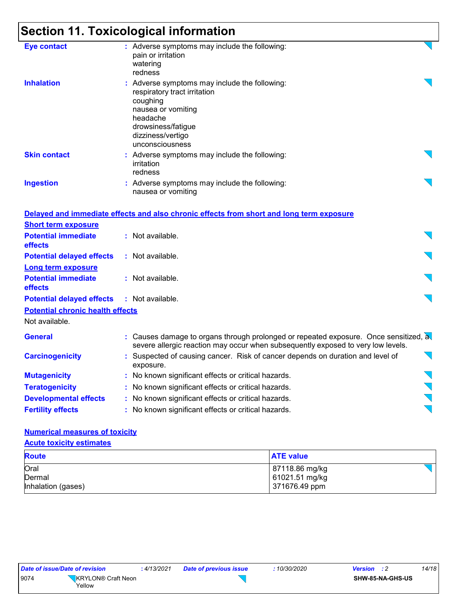# **Section 11. Toxicological information**

| <b>Eye contact</b>                      | : Adverse symptoms may include the following:<br>pain or irritation<br>watering<br>redness                                                                                                |  |
|-----------------------------------------|-------------------------------------------------------------------------------------------------------------------------------------------------------------------------------------------|--|
| <b>Inhalation</b>                       | : Adverse symptoms may include the following:<br>respiratory tract irritation<br>coughing<br>nausea or vomiting<br>headache<br>drowsiness/fatigue<br>dizziness/vertigo<br>unconsciousness |  |
| <b>Skin contact</b>                     | : Adverse symptoms may include the following:<br>irritation<br>redness                                                                                                                    |  |
| <b>Ingestion</b>                        | : Adverse symptoms may include the following:<br>nausea or vomiting                                                                                                                       |  |
|                                         | Delayed and immediate effects and also chronic effects from short and long term exposure                                                                                                  |  |
| <b>Short term exposure</b>              |                                                                                                                                                                                           |  |
| <b>Potential immediate</b><br>effects   | : Not available.                                                                                                                                                                          |  |
| <b>Potential delayed effects</b>        | : Not available.                                                                                                                                                                          |  |
| <b>Long term exposure</b>               |                                                                                                                                                                                           |  |
| <b>Potential immediate</b><br>effects   | : Not available.                                                                                                                                                                          |  |
| <b>Potential delayed effects</b>        | : Not available.                                                                                                                                                                          |  |
| <b>Potential chronic health effects</b> |                                                                                                                                                                                           |  |
| Not available.                          |                                                                                                                                                                                           |  |
| <b>General</b>                          | : Causes damage to organs through prolonged or repeated exposure. Once sensitized, a<br>severe allergic reaction may occur when subsequently exposed to very low levels.                  |  |
| <b>Carcinogenicity</b>                  | : Suspected of causing cancer. Risk of cancer depends on duration and level of<br>exposure.                                                                                               |  |
| <b>Mutagenicity</b>                     | : No known significant effects or critical hazards.                                                                                                                                       |  |
| <b>Teratogenicity</b>                   | : No known significant effects or critical hazards.                                                                                                                                       |  |
| <b>Developmental effects</b>            | : No known significant effects or critical hazards.                                                                                                                                       |  |
| <b>Fertility effects</b>                | : No known significant effects or critical hazards.                                                                                                                                       |  |

#### **Numerical measures of toxicity**

| <b>Acute toxicity estimates</b> |                  |  |  |  |  |
|---------------------------------|------------------|--|--|--|--|
| <b>Route</b>                    | <b>ATE value</b> |  |  |  |  |
| Oral                            | 87118.86 mg/kg   |  |  |  |  |
| Dermal                          | 61021.51 mg/kg   |  |  |  |  |
| Inhalation (gases)              | 371676.49 ppm    |  |  |  |  |

| Date of issue/Date of revision | : 4/13/2                            |  |
|--------------------------------|-------------------------------------|--|
| 9074                           | <b>KRYLON®</b> Craft Neon<br>Yellow |  |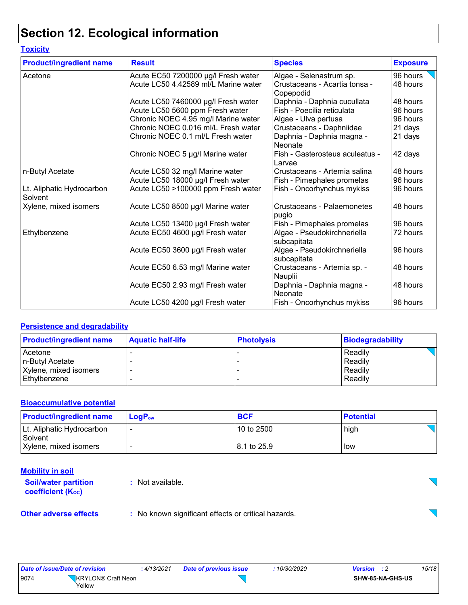# **Section 12. Ecological information**

| <b>Toxicity</b>                      |                                      |                                            |                 |
|--------------------------------------|--------------------------------------|--------------------------------------------|-----------------|
| <b>Product/ingredient name</b>       | <b>Result</b>                        | <b>Species</b>                             | <b>Exposure</b> |
| Acetone                              | Acute EC50 7200000 µg/l Fresh water  | Algae - Selenastrum sp.                    | 96 hours        |
|                                      | Acute LC50 4.42589 ml/L Marine water | Crustaceans - Acartia tonsa -<br>Copepodid | 48 hours        |
|                                      | Acute LC50 7460000 µg/l Fresh water  | Daphnia - Daphnia cucullata                | 48 hours        |
|                                      | Acute LC50 5600 ppm Fresh water      | Fish - Poecilia reticulata                 | 96 hours        |
|                                      | Chronic NOEC 4.95 mg/l Marine water  | Algae - Ulva pertusa                       | 96 hours        |
|                                      | Chronic NOEC 0.016 ml/L Fresh water  | Crustaceans - Daphniidae                   | 21 days         |
|                                      | Chronic NOEC 0.1 ml/L Fresh water    | Daphnia - Daphnia magna -<br>Neonate       | 21 days         |
|                                      | Chronic NOEC 5 µg/l Marine water     | Fish - Gasterosteus aculeatus -<br>Larvae  | 42 days         |
| n-Butyl Acetate                      | Acute LC50 32 mg/l Marine water      | Crustaceans - Artemia salina               | 48 hours        |
|                                      | Acute LC50 18000 µg/l Fresh water    | Fish - Pimephales promelas                 | 96 hours        |
| Lt. Aliphatic Hydrocarbon<br>Solvent | Acute LC50 >100000 ppm Fresh water   | Fish - Oncorhynchus mykiss                 | 96 hours        |
| Xylene, mixed isomers                | Acute LC50 8500 µg/l Marine water    | Crustaceans - Palaemonetes<br>pugio        | 48 hours        |
|                                      | Acute LC50 13400 µg/l Fresh water    | Fish - Pimephales promelas                 | 96 hours        |
| Ethylbenzene                         | Acute EC50 4600 µg/l Fresh water     | Algae - Pseudokirchneriella<br>subcapitata | 72 hours        |
|                                      | Acute EC50 3600 µg/l Fresh water     | Algae - Pseudokirchneriella<br>subcapitata | 96 hours        |
|                                      | Acute EC50 6.53 mg/l Marine water    | Crustaceans - Artemia sp. -<br>Nauplii     | 48 hours        |
|                                      | Acute EC50 2.93 mg/l Fresh water     | Daphnia - Daphnia magna -<br>Neonate       | 48 hours        |
|                                      | Acute LC50 4200 µg/l Fresh water     | Fish - Oncorhynchus mykiss                 | 96 hours        |

#### **Persistence and degradability**

| <b>Product/ingredient name</b> | <b>Aquatic half-life</b> | <b>Photolysis</b> | Biodegradability |
|--------------------------------|--------------------------|-------------------|------------------|
| Acetone                        |                          |                   | Readily          |
| n-Butyl Acetate                |                          |                   | Readily          |
| Xylene, mixed isomers          |                          |                   | Readily          |
| Ethylbenzene                   |                          |                   | Readily          |

#### **Bioaccumulative potential**

| <b>Product/ingredient name</b>       | <b>LogP</b> <sub>ow</sub> | <b>BCF</b>   | <b>Potential</b> |
|--------------------------------------|---------------------------|--------------|------------------|
| Lt. Aliphatic Hydrocarbon<br>Solvent |                           | 10 to 2500   | high             |
| Xylene, mixed isomers                |                           | 18.1 to 25.9 | low              |

#### **Mobility in soil**  $\sum$ **Soil/water partition :** Not available. **coefficient (KOC)**  $\overline{\phantom{0}}$ **Other adverse effects** : No known significant effects or critical hazards.

| Date of issue/Date of revision | 4/13/2021          | Date of previous issue | 10/30/2020 | <b>Version</b> : 2      | 15/18 |
|--------------------------------|--------------------|------------------------|------------|-------------------------|-------|
| 9074                           | KRYLON® Craft Neon |                        |            | <b>SHW-85-NA-GHS-US</b> |       |
| Yellow                         |                    |                        |            |                         |       |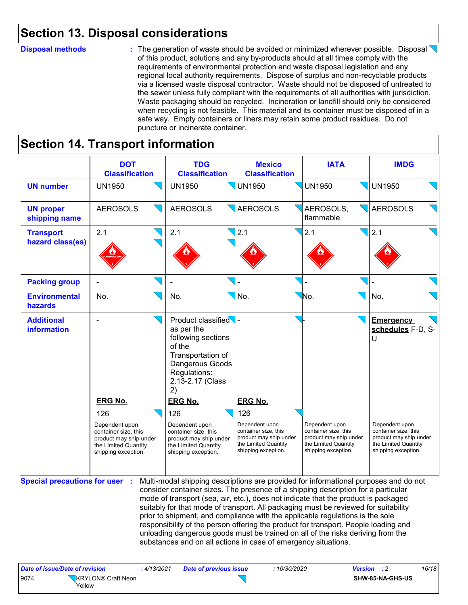### **Section 13. Disposal considerations**

#### **Disposal methods :**

: The generation of waste should be avoided or minimized wherever possible. Disposal of this product, solutions and any by-products should at all times comply with the requirements of environmental protection and waste disposal legislation and any regional local authority requirements. Dispose of surplus and non-recyclable products via a licensed waste disposal contractor. Waste should not be disposed of untreated to the sewer unless fully compliant with the requirements of all authorities with jurisdiction. Waste packaging should be recycled. Incineration or landfill should only be considered when recycling is not feasible. This material and its container must be disposed of in a safe way. Empty containers or liners may retain some product residues. Do not puncture or incinerate container.

### **Section 14. Transport information**

|                                       | <b>DOT</b><br><b>Classification</b>                                                                                                      | <b>TDG</b><br><b>Classification</b>                                                                                                                                                                                                                                                                                                                                                                                                                                                                                                                                                                                                                                                 | <b>Mexico</b><br><b>Classification</b>                                                                                                   | <b>IATA</b>                                                                                                     | <b>IMDG</b>                                                                                                                                                   |
|---------------------------------------|------------------------------------------------------------------------------------------------------------------------------------------|-------------------------------------------------------------------------------------------------------------------------------------------------------------------------------------------------------------------------------------------------------------------------------------------------------------------------------------------------------------------------------------------------------------------------------------------------------------------------------------------------------------------------------------------------------------------------------------------------------------------------------------------------------------------------------------|------------------------------------------------------------------------------------------------------------------------------------------|-----------------------------------------------------------------------------------------------------------------|---------------------------------------------------------------------------------------------------------------------------------------------------------------|
| <b>UN number</b>                      | <b>UN1950</b>                                                                                                                            | <b>UN1950</b>                                                                                                                                                                                                                                                                                                                                                                                                                                                                                                                                                                                                                                                                       | <b>UN1950</b>                                                                                                                            | <b>UN1950</b>                                                                                                   | <b>UN1950</b>                                                                                                                                                 |
| <b>UN proper</b><br>shipping name     | <b>AEROSOLS</b>                                                                                                                          | <b>AEROSOLS</b>                                                                                                                                                                                                                                                                                                                                                                                                                                                                                                                                                                                                                                                                     | <b>AEROSOLS</b>                                                                                                                          | AEROSOLS.<br>flammable                                                                                          | <b>AEROSOLS</b>                                                                                                                                               |
| <b>Transport</b><br>hazard class(es)  | 2.1                                                                                                                                      | 2.1                                                                                                                                                                                                                                                                                                                                                                                                                                                                                                                                                                                                                                                                                 | 2.1                                                                                                                                      | 2.1                                                                                                             | $\sqrt{2.1}$                                                                                                                                                  |
| <b>Packing group</b>                  |                                                                                                                                          |                                                                                                                                                                                                                                                                                                                                                                                                                                                                                                                                                                                                                                                                                     |                                                                                                                                          |                                                                                                                 |                                                                                                                                                               |
| <b>Environmental</b><br>hazards       | No.                                                                                                                                      | No.                                                                                                                                                                                                                                                                                                                                                                                                                                                                                                                                                                                                                                                                                 | No.                                                                                                                                      | No.                                                                                                             | No.                                                                                                                                                           |
| <b>Additional</b><br>information      | <b>ERG No.</b><br>126<br>Dependent upon<br>container size, this<br>product may ship under<br>the Limited Quantity<br>shipping exception. | Product classified<br>as per the<br>following sections<br>of the<br>Transportation of<br>Dangerous Goods<br>Regulations:<br>2.13-2.17 (Class<br>2).<br><b>ERG No.</b><br>126<br>Dependent upon<br>container size, this<br>product may ship under<br>the Limited Quantity<br>shipping exception.                                                                                                                                                                                                                                                                                                                                                                                     | <b>ERG No.</b><br>126<br>Dependent upon<br>container size, this<br>product may ship under<br>the Limited Quantity<br>shipping exception. | Dependent upon<br>container size, this<br>product may ship under<br>the Limited Quantity<br>shipping exception. | <b>Emergency</b><br>schedules F-D, S-<br>U<br>Dependent upon<br>container size, this<br>product may ship under<br>the Limited Quantity<br>shipping exception. |
| <b>Special precautions for user :</b> |                                                                                                                                          | Multi-modal shipping descriptions are provided for informational purposes and do not<br>consider container sizes. The presence of a shipping description for a particular<br>mode of transport (sea, air, etc.), does not indicate that the product is packaged<br>suitably for that mode of transport. All packaging must be reviewed for suitability<br>prior to shipment, and compliance with the applicable regulations is the sole<br>responsibility of the person offering the product for transport. People loading and<br>unloading dangerous goods must be trained on all of the risks deriving from the<br>substances and on all actions in case of emergency situations. |                                                                                                                                          |                                                                                                                 |                                                                                                                                                               |

| Date of issue/Date of revision |                    | : 4/13/2021 | <b>Date of previous issue</b> | : 10/30/2020 | <b>Version</b> : 2 |                  | 16/18 |
|--------------------------------|--------------------|-------------|-------------------------------|--------------|--------------------|------------------|-------|
| 9074<br>Yellow                 | KRYLON® Craft Neon |             |                               |              |                    | SHW-85-NA-GHS-US |       |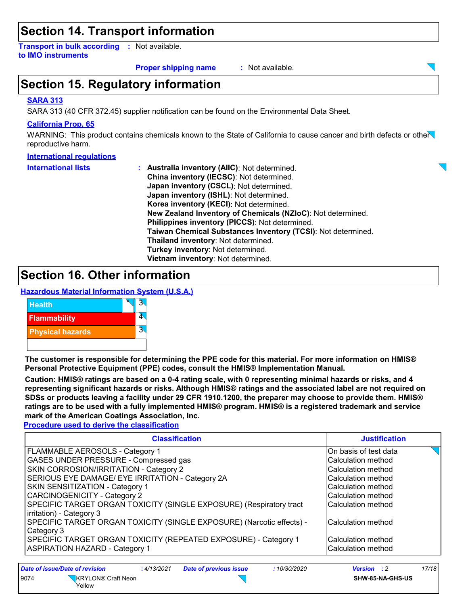### **Section 14. Transport information**

**Transport in bulk according :** Not available. **to IMO instruments**

#### **Proper shipping name :**

: Not available.

### **Section 15. Regulatory information**

#### **SARA 313**

SARA 313 (40 CFR 372.45) supplier notification can be found on the Environmental Data Sheet.

#### **California Prop. 65**

WARNING: This product contains chemicals known to the State of California to cause cancer and birth defects or other reproductive harm.

#### **International regulations**

| <b>International lists</b> | : Australia inventory (AIIC): Not determined.                |
|----------------------------|--------------------------------------------------------------|
|                            | China inventory (IECSC): Not determined.                     |
|                            | Japan inventory (CSCL): Not determined.                      |
|                            | Japan inventory (ISHL): Not determined.                      |
|                            | Korea inventory (KECI): Not determined.                      |
|                            | New Zealand Inventory of Chemicals (NZIoC): Not determined.  |
|                            | Philippines inventory (PICCS): Not determined.               |
|                            | Taiwan Chemical Substances Inventory (TCSI): Not determined. |
|                            | Thailand inventory: Not determined.                          |
|                            | Turkey inventory: Not determined.                            |
|                            | Vietnam inventory: Not determined.                           |

### **Section 16. Other information**

**Hazardous Material Information System (U.S.A.)**



**The customer is responsible for determining the PPE code for this material. For more information on HMIS® Personal Protective Equipment (PPE) codes, consult the HMIS® Implementation Manual.**

**Caution: HMIS® ratings are based on a 0-4 rating scale, with 0 representing minimal hazards or risks, and 4 representing significant hazards or risks. Although HMIS® ratings and the associated label are not required on SDSs or products leaving a facility under 29 CFR 1910.1200, the preparer may choose to provide them. HMIS® ratings are to be used with a fully implemented HMIS® program. HMIS® is a registered trademark and service mark of the American Coatings Association, Inc.**

**Procedure used to derive the classification**

| <b>Classification</b>                                                                           | <b>Justification</b>  |
|-------------------------------------------------------------------------------------------------|-----------------------|
| FLAMMABLE AEROSOLS - Category 1                                                                 | On basis of test data |
| GASES UNDER PRESSURE - Compressed gas                                                           | Calculation method    |
| SKIN CORROSION/IRRITATION - Category 2                                                          | Calculation method    |
| SERIOUS EYE DAMAGE/ EYE IRRITATION - Category 2A                                                | Calculation method    |
| <b>SKIN SENSITIZATION - Category 1</b>                                                          | Calculation method    |
| <b>CARCINOGENICITY - Category 2</b>                                                             | Calculation method    |
| SPECIFIC TARGET ORGAN TOXICITY (SINGLE EXPOSURE) (Respiratory tract<br>irritation) - Category 3 | Calculation method    |
| SPECIFIC TARGET ORGAN TOXICITY (SINGLE EXPOSURE) (Narcotic effects) -<br>Category 3             | Calculation method    |
| SPECIFIC TARGET ORGAN TOXICITY (REPEATED EXPOSURE) - Category 1                                 | Calculation method    |
| <b>ASPIRATION HAZARD - Category 1</b>                                                           | Calculation method    |

| Date of issue/Date of revision |                              | : 4/13/2021 | <b>Date of previous issue</b> | :10/30/2020 | <b>Version</b> : 2 |                  | 17/18 |
|--------------------------------|------------------------------|-------------|-------------------------------|-------------|--------------------|------------------|-------|
| 9074                           | KRYLON® Craft Neon<br>Yellow |             |                               |             |                    | SHW-85-NA-GHS-US |       |